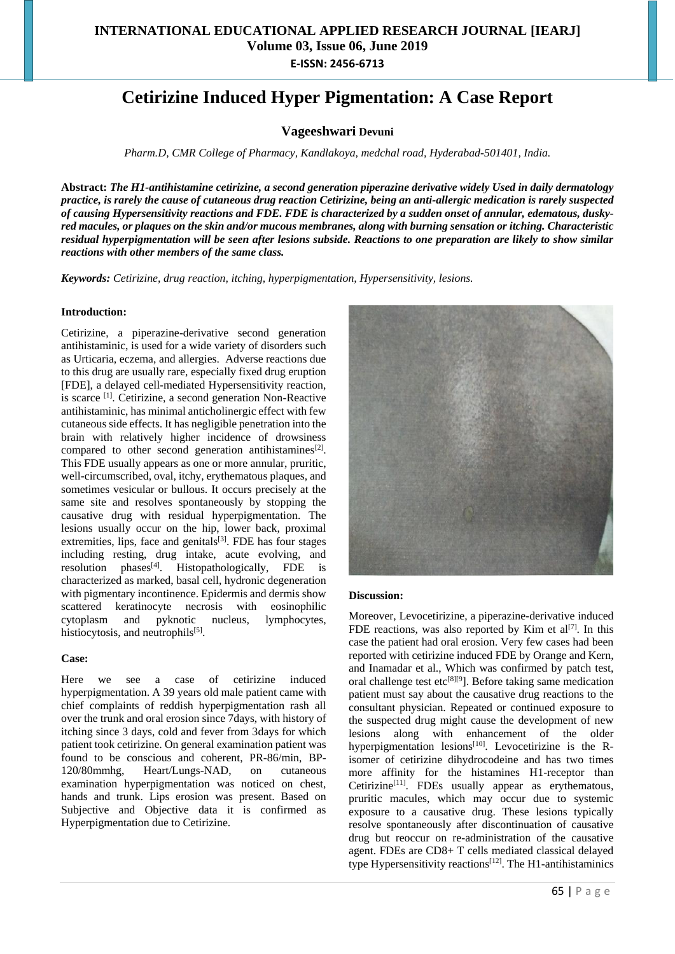# **Cetirizine Induced Hyper Pigmentation: A Case Report**

**Vageeshwari Devuni**

*Pharm.D, CMR College of Pharmacy, Kandlakoya, medchal road, Hyderabad-501401, India.*

**Abstract:** *The H1-antihistamine cetirizine, a second generation piperazine derivative widely Used in daily dermatology practice, is rarely the cause of cutaneous drug reaction Cetirizine, being an anti-allergic medication is rarely suspected of causing Hypersensitivity reactions and FDE. FDE is characterized by a sudden onset of annular, edematous, duskyred macules, or plaques on the skin and/or mucous membranes, along with burning sensation or itching. Characteristic residual hyperpigmentation will be seen after lesions subside. Reactions to one preparation are likely to show similar reactions with other members of the same class.*

*Keywords: Cetirizine, drug reaction, itching, hyperpigmentation, Hypersensitivity, lesions.*

## **Introduction:**

Cetirizine, a piperazine-derivative second generation antihistaminic, is used for a wide variety of disorders such as Urticaria, eczema, and allergies. Adverse reactions due to this drug are usually rare, especially fixed drug eruption [FDE], a delayed cell-mediated Hypersensitivity reaction, is scarce <sup>[1]</sup>. Cetirizine, a second generation Non-Reactive antihistaminic, has minimal anticholinergic effect with few cutaneous side effects. It has negligible penetration into the brain with relatively higher incidence of drowsiness compared to other second generation antihistamines<sup>[2]</sup>. This FDE usually appears as one or more annular, pruritic, well-circumscribed, oval, itchy, erythematous plaques, and sometimes vesicular or bullous. It occurs precisely at the same site and resolves spontaneously by stopping the causative drug with residual hyperpigmentation. The lesions usually occur on the hip, lower back, proximal extremities, lips, face and genitals $[3]$ . FDE has four stages including resting, drug intake, acute evolving, and  $resolution$  phases<sup>[4]</sup>. . Histopathologically, FDE is characterized as marked, basal cell, hydronic degeneration with pigmentary incontinence. Epidermis and dermis show scattered keratinocyte necrosis with eosinophilic cytoplasm and pyknotic nucleus, lymphocytes, histiocytosis, and neutrophils<sup>[5]</sup>.

## **Case:**

Here we see a case of cetirizine induced hyperpigmentation. A 39 years old male patient came with chief complaints of reddish hyperpigmentation rash all over the trunk and oral erosion since 7days, with history of itching since 3 days, cold and fever from 3days for which patient took cetirizine. On general examination patient was found to be conscious and coherent, PR-86/min, BP-<br>120/80mmhg. Heart/Lungs-NAD, on cutaneous Heart/Lungs-NAD, on cutaneous examination hyperpigmentation was noticed on chest, hands and trunk. Lips erosion was present. Based on Subjective and Objective data it is confirmed as Hyperpigmentation due to Cetirizine.



#### **Discussion:**

Moreover, Levocetirizine, a piperazine-derivative induced FDE reactions, was also reported by Kim et  $al^{[7]}$ . In this case the patient had oral erosion. Very few cases had been reported with cetirizine induced FDE by Orange and Kern, and Inamadar et al., Which was confirmed by patch test, oral challenge test etc<sup>[8][9</sup>]. Before taking same medication patient must say about the causative drug reactions to the consultant physician. Repeated or continued exposure to the suspected drug might cause the development of new lesions along with enhancement of the older hyperpigmentation lesions<sup>[10]</sup>. Levocetirizine is the Risomer of cetirizine dihydrocodeine and has two times more affinity for the histamines H1-receptor than Cetirizine<sup>[11]</sup>. FDEs usually appear as erythematous, pruritic macules, which may occur due to systemic exposure to a causative drug. These lesions typically resolve spontaneously after discontinuation of causative drug but reoccur on re-administration of the causative agent. FDEs are CD8+ T cells mediated classical delayed type Hypersensitivity reactions<sup>[12]</sup>. The H1-antihistaminics